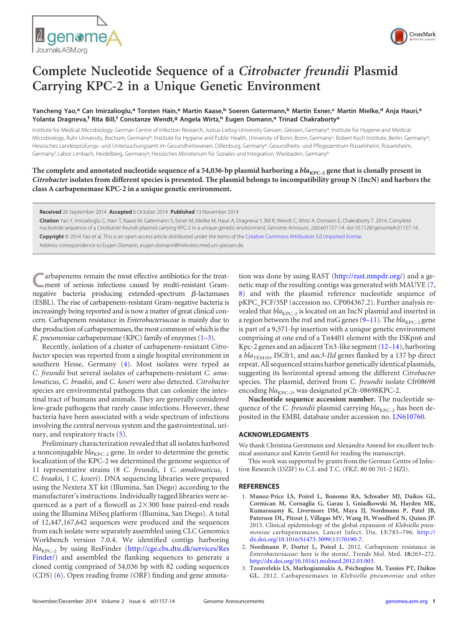



## **Complete Nucleotide Sequence of a** *Citrobacter freundii* **Plasmid Carrying KPC-2 in a Unique Genetic Environment**

Yancheng Yao,<sup>a</sup> Can Imirzalioglu,<sup>a</sup> Torsten Hain,<sup>a</sup> Martin Kaase,<sup>b</sup> Soeren Gatermann,<sup>b</sup> Martin Exner,<sup>c</sup> Martin Mielke,<sup>d</sup> Anja Hauri,<sup>e</sup> **Yolanta Dragneva,<sup>f</sup> Rita Bill,<sup>f</sup> Constanze Wendt,<sup>g</sup> Angela Wirtz,<sup>h</sup> Eugen Domann,<sup>a</sup> Trinad Chakraborty<sup>a</sup>**

Institute for Medical Microbiology, German Centre of Infection Research, Justus-Liebig-University Giessen, Giessen, Germany<sup>a</sup>; Institute for Hygiene and Medical Microbiology, Ruhr University, Bochum, Germany<sup>b</sup>; Institute for Hygiene and Public Health, University of Bonn, Bonn, Germany<sup>c</sup>; Robert Koch Institute, Berlin, Germany<sup>d</sup>; Hessisches Landesprüfungs- und Untersuchungsamt im Gesundheitswesen, Dillenburg, Germanye; Gesundheits- und Pflegezentrum Rüsselsheim, Rüsselsheim, Germany<sup>f</sup>; Labor Limbach, Heidelberg, Germany<sup>9</sup>; Hessisches Ministerium für Soziales und Integration, Wiesbaden, Germanyh

The complete and annotated nucleotide sequence of a 54,036-bp plasmid harboring a *bla*<sub>KPC-2</sub> gene that is clonally present in *Citrobacter* **isolates from different species is presented. The plasmid belongs to incompatibility group N (IncN) and harbors the class A carbapenemase KPC-2 in a unique genetic environment.**

**Received** 26 September 2014 **Accepted** 6 October 2014 **Published** 13 November 2014

**Citation** Yao Y, Imirzalioglu C, Hain T, Kaase M, Gatermann S, Exner M, Mielke M, Hauri A, Dragneva Y, Bill R, Wendt C, Wirtz A, Domann E, Chakraborty T. 2014. Complete nucleotide sequence of a *Citrobacter freundii* plasmid carrying KPC-2 in a unique genetic environment. Genome Announc. 2(6):e01157-14. doi:10.1128/genomeA.01157-14.

**Copyright** © 2014 Yao et al. This is an open-access article distributed under the terms of the Creative Commons Attribution 3.0 Unported license.

Address correspondence to Eugen Domann, eugen.domann@mikrobio.med.uni-giessen.de.

arbapenems remain the most effective antibiotics for the treatment of serious infections caused by multi-resistant Gramnegative bacteria producing extended-spectrum  $\beta$ -lactamases (ESBL). The rise of carbapenem-resistant Gram-negative bacteria is increasingly being reported and is now a matter of great clinical concern. Carbapenem resistance in *Enterobacteriaceae* is mainly due to the production of carbapenemases, the most common of which is the *K. pneumoniae* carbapenemase (KPC) family of enzymes [\(1](#page-0-0)[–](#page-0-1)[3\)](#page-0-2).

Recently, isolation of a cluster of carbapenem-resistant *Citrobacter* species was reported from a single hospital environment in southern Hesse, Germany [\(4\)](#page-1-0). Most isolates were typed as *C. freundii* but several isolates of carbapenem-resistant *C. amalonaticus*, *C. braakii*, and *C. koseri* were also detected. *Citrobacter* species are environmental pathogens that can colonize the intestinal tract of humans and animals. They are generally considered low-grade pathogens that rarely cause infections. However, these bacteria have been associated with a wide spectrum of infections involving the central nervous system and the gastrointestinal, urinary, and respiratory tracts [\(5\)](#page-1-1).

Preliminary characterization revealed that all isolates harbored a nonconjugable  $bla_{KPC-2}$  gene. In order to determine the genetic localization of the KPC-2 we determined the genome sequence of 11 representative strains (8 *C. freundii*, 1 *C. amalonaticus*, 1 *C. braakii*, 1 *C. koseri*). DNA sequencing libraries were prepared using the Nextera XT kit (Illumina, San Diego) according to the manufacturer's instructions. Individually tagged libraries were sequenced as a part of a flowcell as  $2\times300$  base paired-end reads using the Illumina MiSeq platform (Illumina, San Diego). A total of 12,447,167,642 sequences were produced and the sequences from each isolate were separately assembled using CLC Genomics Workbench version 7.0.4. We identified contigs harboring *bla*<sub>KPC-2</sub> by using ResFinder (http://cge.cbs.dtu.dk/services/Res Finder/) and assembled the flanking sequences to generate a closed contig comprised of 54,036 bp with 82 coding sequences (CDS) [\(6\)](#page-1-2). Open reading frame (ORF) finding and gene annotation was done by using RAST (http://rast.nmpdr.org/) and a genetic map of the resulting contigs was generated with MAUVE [\(7,](#page-1-3) [8\)](#page-1-4) and with the plasmid reference nucleotide sequence of pKPC\_FCF/3SP (accession no. CP004367.2). Further analysis revealed that  $bla_{\text{KPC-2}}$  is located on an IncN plasmid and inserted in a region between the *tra*I and *tra*G genes [\(9](#page-1-5)-[11\)](#page-1-7). The *bla*<sub>KPC-2</sub> gene is part of a 9,571-bp insertion with a unique genetic environment comprising at one end of a Tn4401 element with the ISKpn6 and Kpc-2 genes and an adjacent Tn3-like segment [\(12](#page-1-8)[–](#page-1-9)[14\)](#page-1-10), harboring a *bla*<sub>TEM1b</sub>, ISCfr1, and *aac3-IId* genes flanked by a 137 bp direct repeat. All sequenced strains harbor genetically identical plasmids, suggesting its horizontal spread among the different *Citrobacter* species. The plasmid, derived from *C. freundii* isolate Cfr08698 encoding *bla*<sub>KPC-2</sub>, was designated pCfr-08698KPC-2.

**Nucleotide sequence accession number.** The nucleotide sequence of the *C. freundii* plasmid carrying  $bla_{KPC-2}$  has been deposited in the EMBL database under accession no. LN610760.

## **ACKNOWLEDGMENTS**

We thank Christina Gerstmann and Alexandra Amend for excellent technical assistance and Katrin Gentil for reading the manuscript.

This work was supported by grants from the German Centre of Infection Research (DZIF) to C.I. and T.C. (FKZ: 80 00 701-2 HZI).

## <span id="page-0-0"></span>**REFERENCES**

- 1. **Munoz-Price LS, Poirel L, Bonomo RA, Schwaber MJ, Daikos GL, Cormican M, Cornaglia G, Garau J, Gniadkowski M, Hayden MK, Kumarasamy K, Livermore DM, Maya JJ, Nordmann P, Patel JB, Paterson DL, Pitout J, Villegas MV, Wang H, Woodford N, Quinn JP.** 2013. Clinical epidemiology of the global expansion of *Klebsiella pneumoniae* carbapenemases. Lancet Infect. Dis. **13:**785–796. http:// dx.doi.org/10.1016/S1473-3099(13)70190-7.
- <span id="page-0-1"></span>2. **Nordmann P, Dortet L, Poirel L.** 2012. Carbapenem resistance in *Enterobacteriaceae*: here is the storm!. Trends Mol. Med. **18:**263–272. http://dx.doi.org/10.1016/j.molmed.2012.03.003.
- <span id="page-0-2"></span>3. **Tzouvelekis LS, Markogiannakis A, Psichogiou M, Tassios PT, Daikos GL.** 2012. Carbapenemases in *Klebsiella pneumoniae* and other